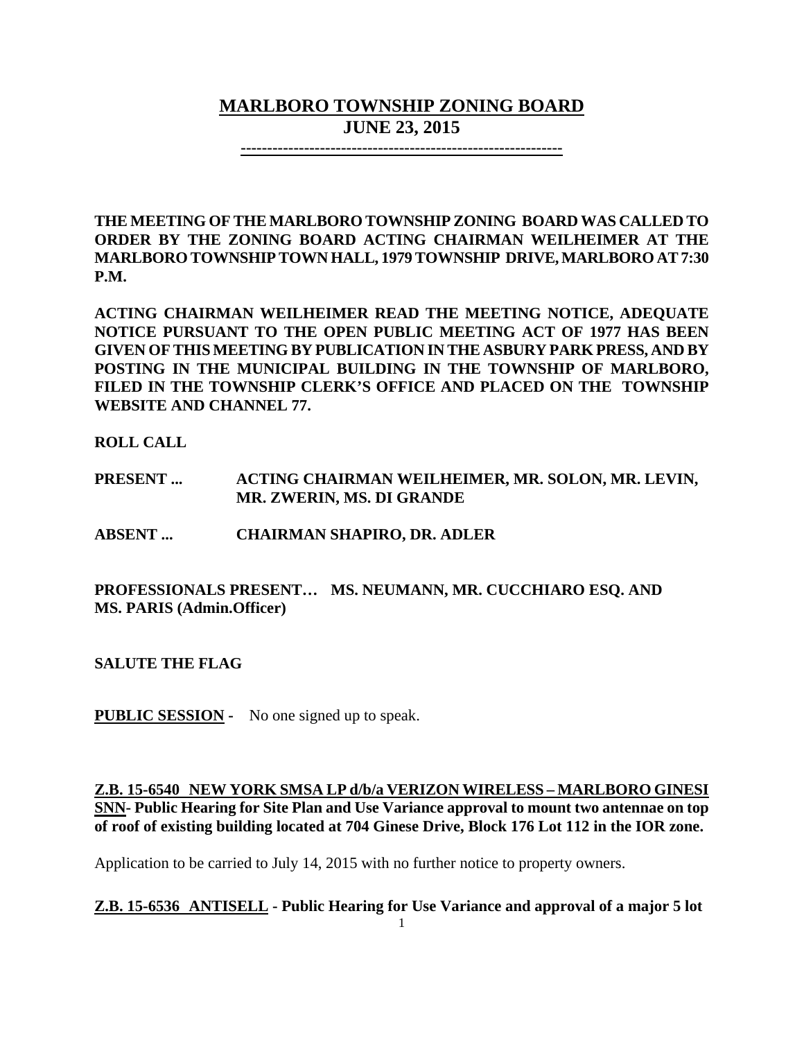# **MARLBORO TOWNSHIP ZONING BOARD JUNE 23, 2015**

**-------------------------------------------------------------**

**THE MEETING OF THE MARLBORO TOWNSHIP ZONING BOARD WAS CALLED TO ORDER BY THE ZONING BOARD ACTING CHAIRMAN WEILHEIMER AT THE MARLBORO TOWNSHIP TOWN HALL, 1979 TOWNSHIP DRIVE, MARLBORO AT 7:30 P.M.**

**ACTING CHAIRMAN WEILHEIMER READ THE MEETING NOTICE, ADEQUATE NOTICE PURSUANT TO THE OPEN PUBLIC MEETING ACT OF 1977 HAS BEEN GIVEN OF THIS MEETING BY PUBLICATION IN THE ASBURY PARK PRESS, AND BY POSTING IN THE MUNICIPAL BUILDING IN THE TOWNSHIP OF MARLBORO, FILED IN THE TOWNSHIP CLERK'S OFFICE AND PLACED ON THE TOWNSHIP WEBSITE AND CHANNEL 77.**

**ROLL CALL**

**PRESENT ... ACTING CHAIRMAN WEILHEIMER, MR. SOLON, MR. LEVIN, MR. ZWERIN, MS. DI GRANDE**

**ABSENT ... CHAIRMAN SHAPIRO, DR. ADLER**

**PROFESSIONALS PRESENT… MS. NEUMANN, MR. CUCCHIARO ESQ. AND MS. PARIS (Admin.Officer)**

**SALUTE THE FLAG**

**PUBLIC SESSION -** No one signed up to speak.

**Z.B. 15-6540 NEW YORK SMSA LP d/b/a VERIZON WIRELESS – MARLBORO GINESI SNN- Public Hearing for Site Plan and Use Variance approval to mount two antennae on top of roof of existing building located at 704 Ginese Drive, Block 176 Lot 112 in the IOR zone.**

Application to be carried to July 14, 2015 with no further notice to property owners.

**Z.B. 15-6536 ANTISELL - Public Hearing for Use Variance and approval of a major 5 lot**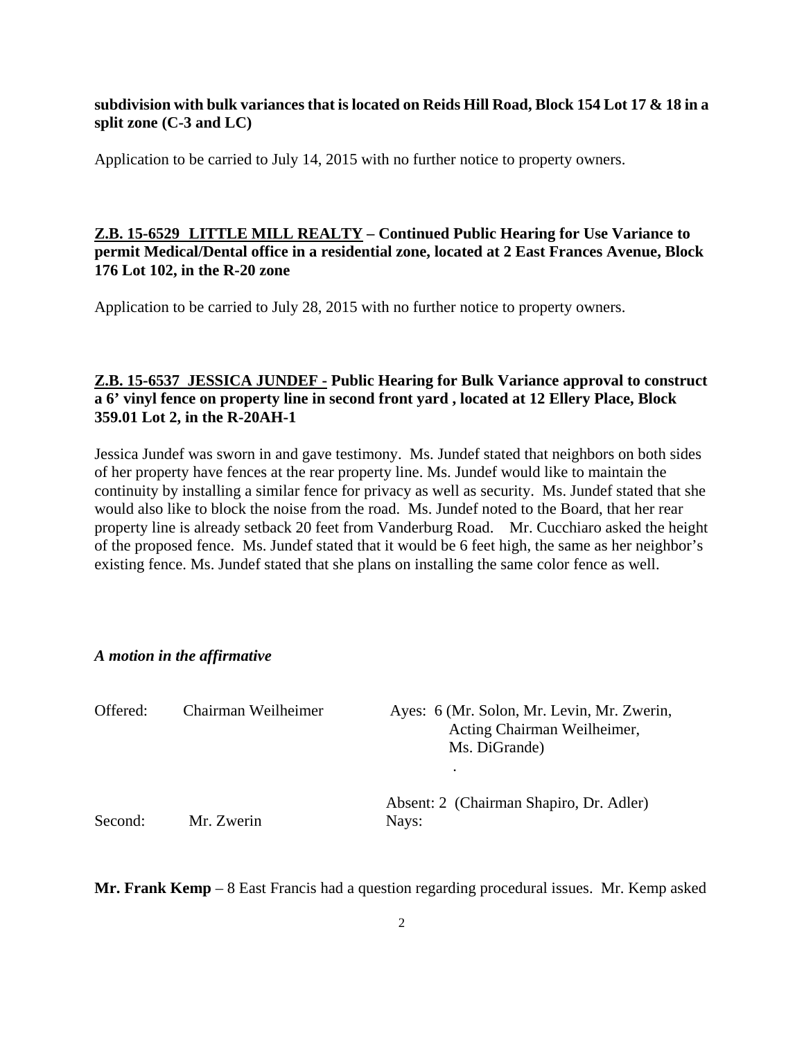### **subdivision with bulk variances that is located on Reids Hill Road, Block 154 Lot 17 & 18 in a split zone (C-3 and LC)**

Application to be carried to July 14, 2015 with no further notice to property owners.

### **Z.B. 15-6529 LITTLE MILL REALTY – Continued Public Hearing for Use Variance to permit Medical/Dental office in a residential zone, located at 2 East Frances Avenue, Block 176 Lot 102, in the R-20 zone**

Application to be carried to July 28, 2015 with no further notice to property owners.

### **Z.B. 15-6537 JESSICA JUNDEF - Public Hearing for Bulk Variance approval to construct a 6' vinyl fence on property line in second front yard , located at 12 Ellery Place, Block 359.01 Lot 2, in the R-20AH-1**

Jessica Jundef was sworn in and gave testimony. Ms. Jundef stated that neighbors on both sides of her property have fences at the rear property line. Ms. Jundef would like to maintain the continuity by installing a similar fence for privacy as well as security. Ms. Jundef stated that she would also like to block the noise from the road. Ms. Jundef noted to the Board, that her rear property line is already setback 20 feet from Vanderburg Road. Mr. Cucchiaro asked the height of the proposed fence. Ms. Jundef stated that it would be 6 feet high, the same as her neighbor's existing fence. Ms. Jundef stated that she plans on installing the same color fence as well.

#### *A motion in the affirmative*

| Offered: | Chairman Weilheimer | Ayes: 6 (Mr. Solon, Mr. Levin, Mr. Zwerin,<br>Acting Chairman Weilheimer,<br>Ms. DiGrande)<br>٠ |
|----------|---------------------|-------------------------------------------------------------------------------------------------|
| Second:  | Mr. Zwerin          | Absent: 2 (Chairman Shapiro, Dr. Adler)<br>Nays:                                                |

**Mr. Frank Kemp** – 8 East Francis had a question regarding procedural issues. Mr. Kemp asked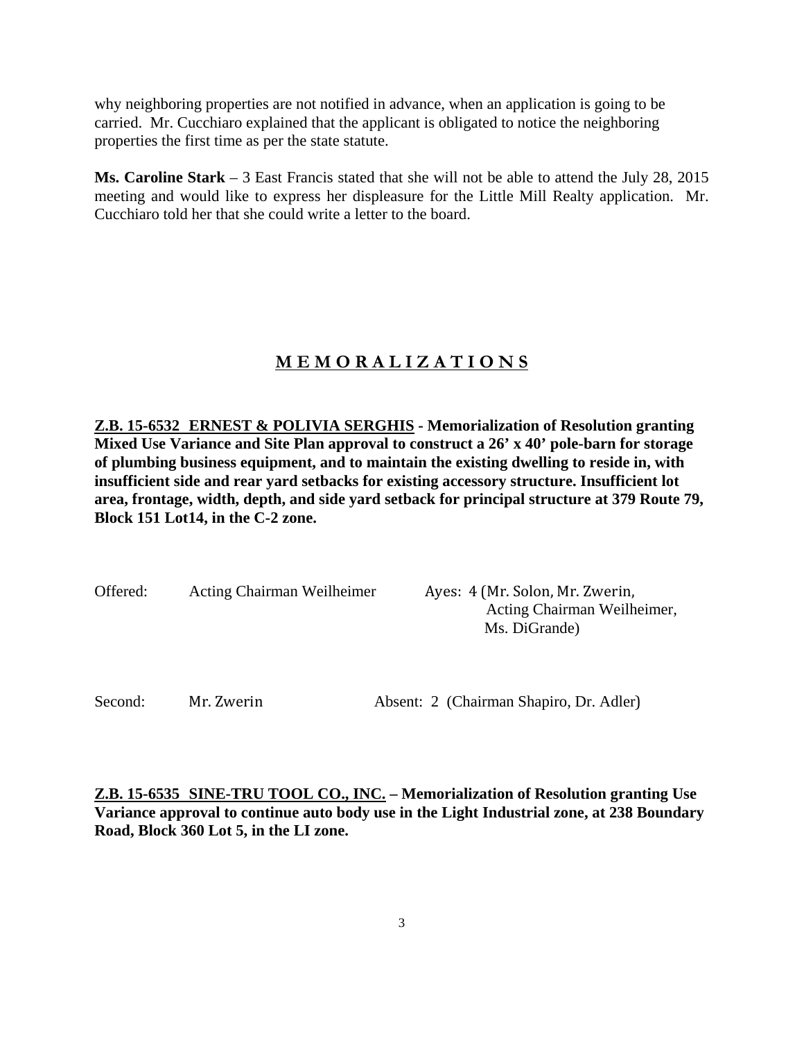why neighboring properties are not notified in advance, when an application is going to be carried. Mr. Cucchiaro explained that the applicant is obligated to notice the neighboring properties the first time as per the state statute.

**Ms. Caroline Stark** – 3 East Francis stated that she will not be able to attend the July 28, 2015 meeting and would like to express her displeasure for the Little Mill Realty application. Mr. Cucchiaro told her that she could write a letter to the board.

## **M E M O R A L I Z A T I O N S**

**Z.B. 15-6532 ERNEST & POLIVIA SERGHIS - Memorialization of Resolution granting Mixed Use Variance and Site Plan approval to construct a 26' x 40' pole-barn for storage of plumbing business equipment, and to maintain the existing dwelling to reside in, with insufficient side and rear yard setbacks for existing accessory structure. Insufficient lot area, frontage, width, depth, and side yard setback for principal structure at 379 Route 79, Block 151 Lot14, in the C-2 zone.**

| Offered: | Acting Chairman Weilheimer | Ayes: 4 (Mr. Solon, Mr. Zwerin,<br>Acting Chairman Weilheimer,<br>Ms. DiGrande) |
|----------|----------------------------|---------------------------------------------------------------------------------|
|          |                            |                                                                                 |

Second:

Mr. Zwerin Absent: 2 (Chairman Shapiro, Dr. Adler)

**Z.B. 15-6535 SINE-TRU TOOL CO., INC. – Memorialization of Resolution granting Use Variance approval to continue auto body use in the Light Industrial zone, at 238 Boundary Road, Block 360 Lot 5, in the LI zone.**